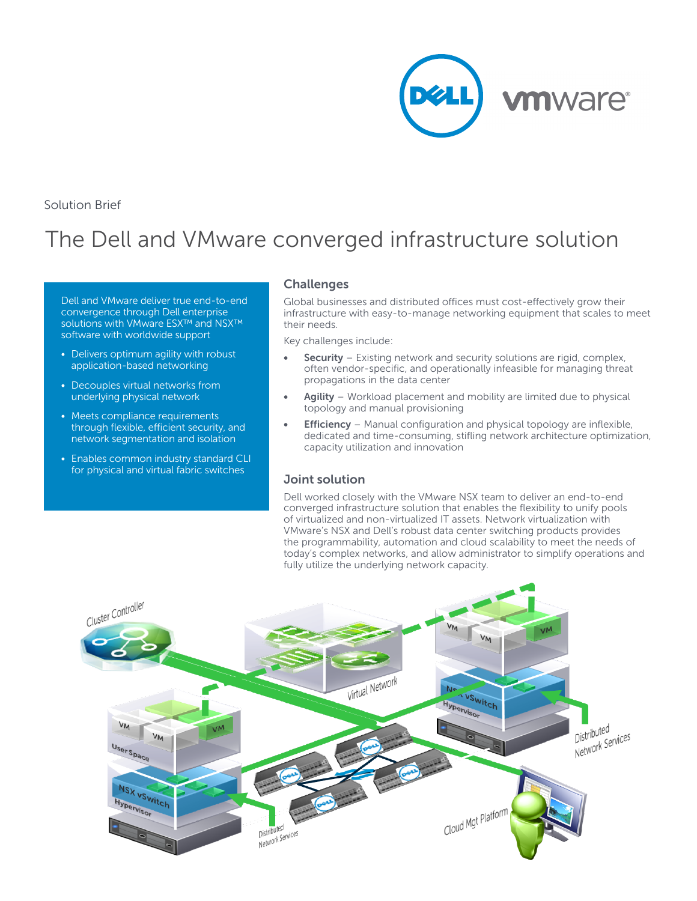

Solution Brief

# The Dell and VMware converged infrastructure solution

Dell and VMware deliver true end-to-end convergence through Dell enterprise solutions with VMware ESX™ and NSX™ software with worldwide support

- Delivers optimum agility with robust application-based networking
- Decouples virtual networks from underlying physical network
- Meets compliance requirements through flexible, efficient security, and network segmentation and isolation
- Enables common industry standard CLI for physical and virtual fabric switches

#### **Challenges**

Global businesses and distributed offices must cost-effectively grow their infrastructure with easy-to-manage networking equipment that scales to meet their needs.

Key challenges include:

- **• Security** Existing network and security solutions are rigid, complex, often vendor-specific, and operationally infeasible for managing threat propagations in the data center
- **• Agility** Workload placement and mobility are limited due to physical topology and manual provisioning
- **• Efficiency** Manual configuration and physical topology are inflexible, dedicated and time-consuming, stifling network architecture optimization, capacity utilization and innovation

### **Joint solution**

Dell worked closely with the VMware NSX team to deliver an end-to-end converged infrastructure solution that enables the flexibility to unify pools of virtualized and non-virtualized IT assets. Network virtualization with VMware's NSX and Dell's robust data center switching products provides the programmability, automation and cloud scalability to meet the needs of today's complex networks, and allow administrator to simplify operations and fully utilize the underlying network capacity.